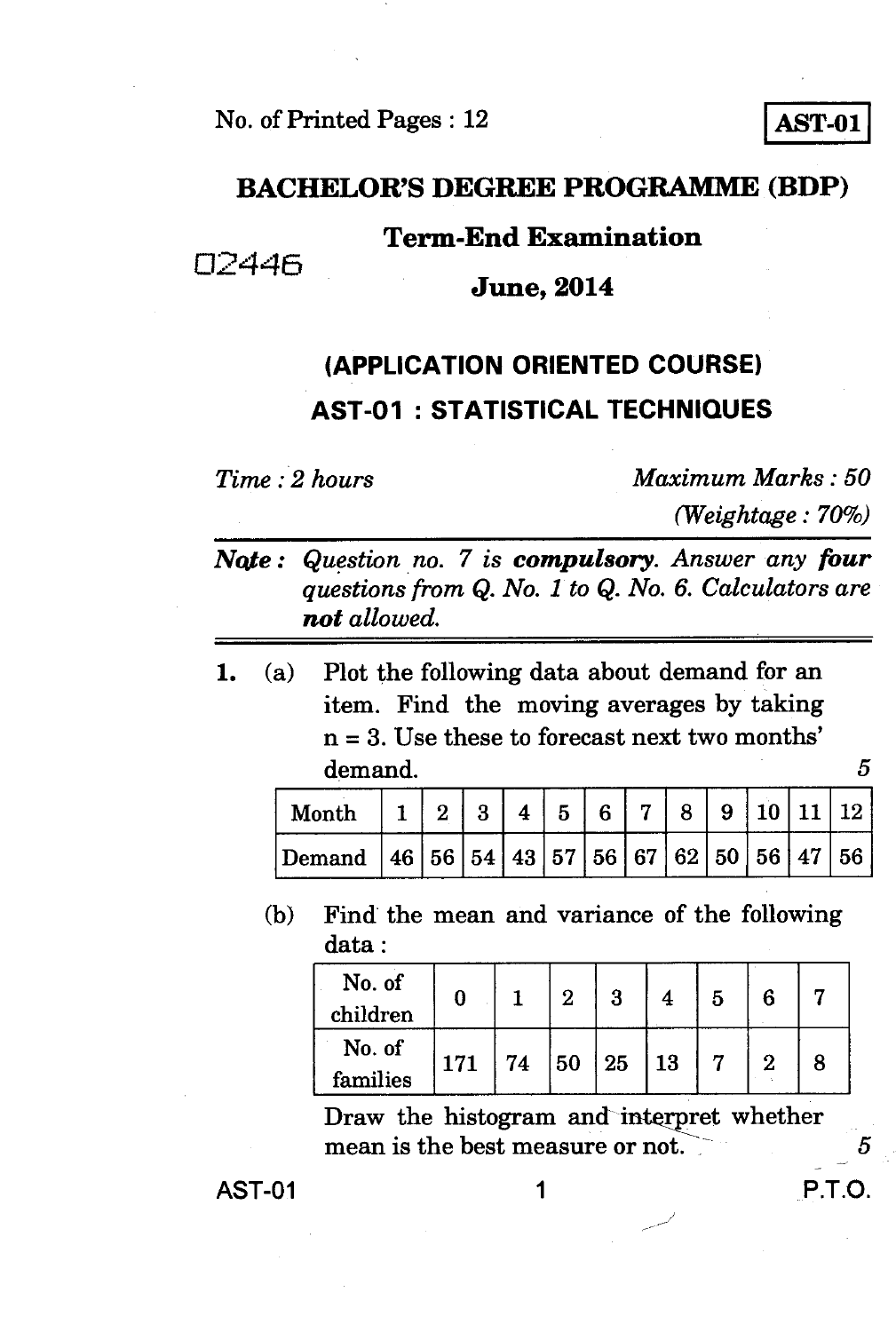**No. of Printed Pages : 12 AST-01** 

#### **BACHELOR'S DEGREE PROGRAMME (BDP)**

#### **Term-End Examination**

02446

**June, 2014** 

## **(APPLICATION ORIENTED COURSE) AST-01 : STATISTICAL TECHNIQUES**

*Time : 2 hours Maximum Marks : 50 (Weightage : 70%)* 

- *Note : Question no. 7 is compulsory. Answer any four questions from Q. No. 1 to Q. No. 6. Calculators are not allowed.*
- **1. (a) Plot the following data about demand for an item. Find the moving averages by taking n = 3. Use these to forecast next two months' demand.**

5

| Month                                                                                                                              |  |  | 5. | 6 | 8 |  |    |
|------------------------------------------------------------------------------------------------------------------------------------|--|--|----|---|---|--|----|
| $\mid$ Demand $\mid$ 46 $\mid$ 56 $\mid$ 54 $\mid$ 43 $\mid$ 57 $\mid$ 56 $\mid$ 67 $\mid$ 62 $\mid$ 50 $\mid$ 56 $\mid$ 47 $\mid$ |  |  |    |   |   |  | 56 |

**(b) Find the mean and variance of the following data :** 

| No. of<br>children |     |    | າ  | 3  |    | 5 |  |
|--------------------|-----|----|----|----|----|---|--|
| No. of<br>families | 171 | 74 | 50 | 25 | 13 |   |  |

**Draw the histogram and interpret whether mean is the best measure or not.** 5

**AST-01** 1 **P.T.O.**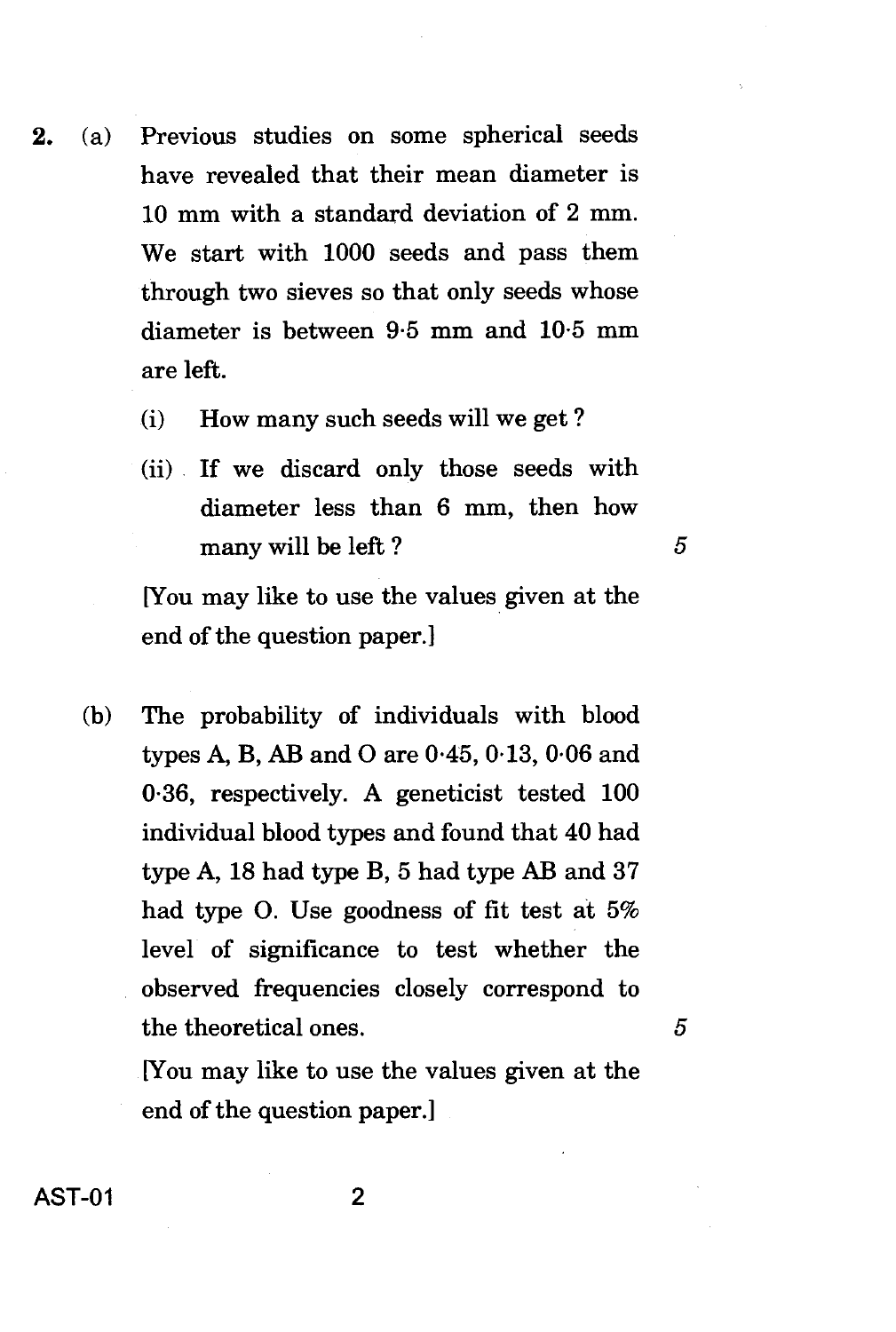- 2. (a) Previous studies on some spherical seeds have revealed that their mean diameter is 10 mm with a standard deviation of 2 mm. We start with 1000 seeds and pass them through two sieves so that only seeds whose diameter is between 9.5 mm and 10.5 mm are left.
	- (i) How many such seeds will we get ?
	- (ii) If we discard only those seeds with diameter less than 6 mm, then how many will be left ?

 $\overline{5}$ 

 $\overline{5}$ 

[You may like to use the values given at the end of the question paper.]

(b) The probability of individuals with blood types A, B, AB and 0 are 0.45, 013, 0.06 and 0.36, respectively. A geneticist tested 100 individual blood types and found that 40 had type A, 18 had type B, 5 had type AB and 37 had type 0. Use goodness of fit test at 5% level of significance to test whether the observed frequencies closely correspond to the theoretical ones.

> [You may like to use the values given at the end of the question paper.]

AST-01 2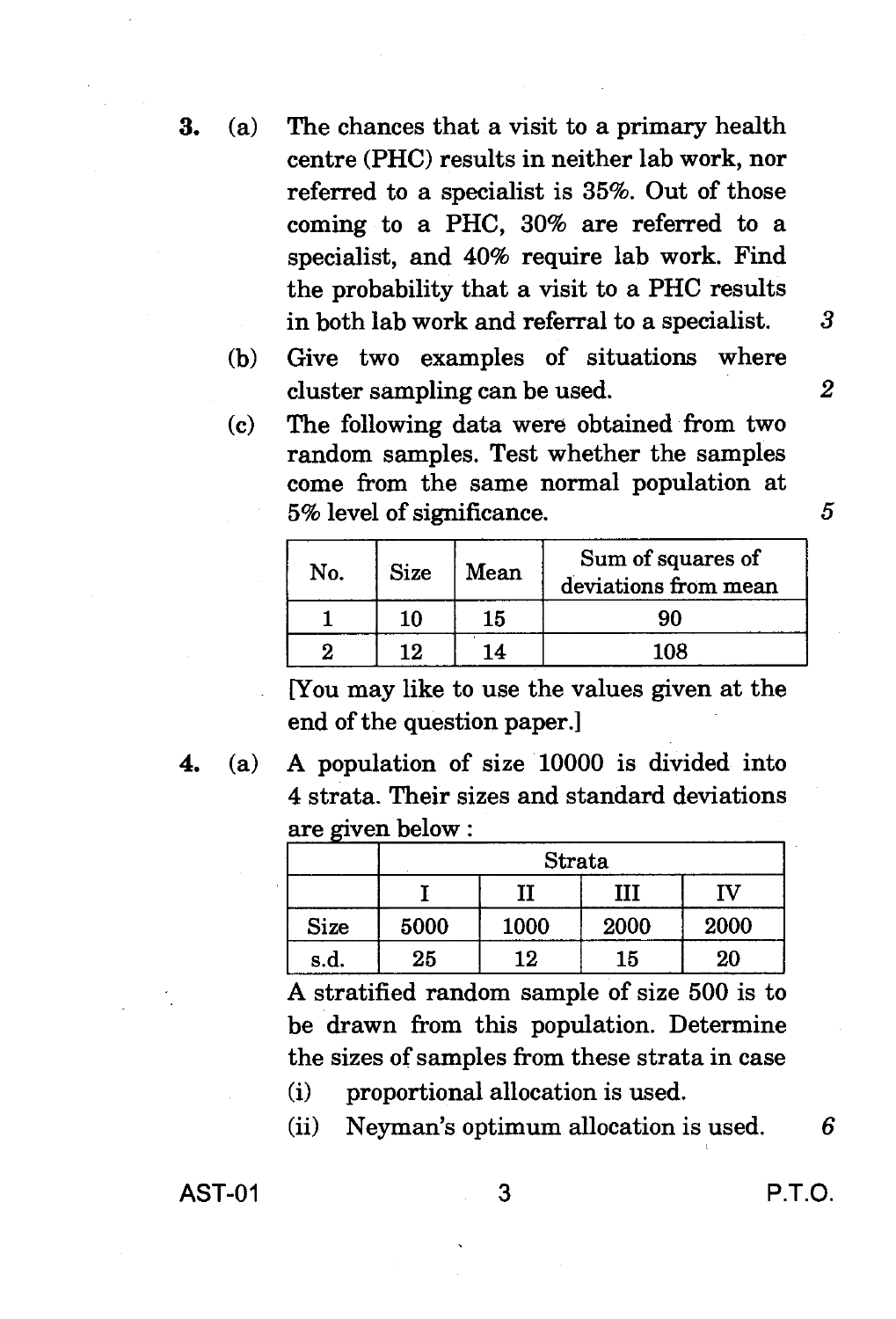- **3.** (a) The chances that a visit to a primary health centre (PHC) results in neither lab work, nor referred to a specialist is 35%. Out of those coming to a PHC, 30% are referred to a specialist, and 40% require lab work. Find the probability that a visit to a PHC results in both lab work and referral to a specialist. 3
	- (b) Give two examples of situations where cluster sampling can be used. *2*
	- (c) The following data were obtained from two random samples. Test whether the samples come from the same normal population at 5% level of significance. 5

| No. | <b>Size</b> | Mean | Sum of squares of<br>deviations from mean |
|-----|-------------|------|-------------------------------------------|
|     | 10          | 15   |                                           |
|     |             |      | 108                                       |

[You may like to use the values given at the end of the question paper.]

**4.** (a) A population of size 10000 is divided into 4 strata. Their sizes and standard deviations are aiven below :

|             | Strata |      |      |      |  |  |  |  |  |  |
|-------------|--------|------|------|------|--|--|--|--|--|--|
|             |        |      | ш    | ſV   |  |  |  |  |  |  |
| <b>Size</b> | 5000   | 1000 | 2000 | 2000 |  |  |  |  |  |  |
| s.d.        | 25     | 12   | 15   | 20   |  |  |  |  |  |  |

A stratified random sample of size 500 is to be drawn from this population. Determine the sizes of samples from these strata in case

- (i) proportional allocation is used.
- (ii) Neyman's optimum allocation is used. *6*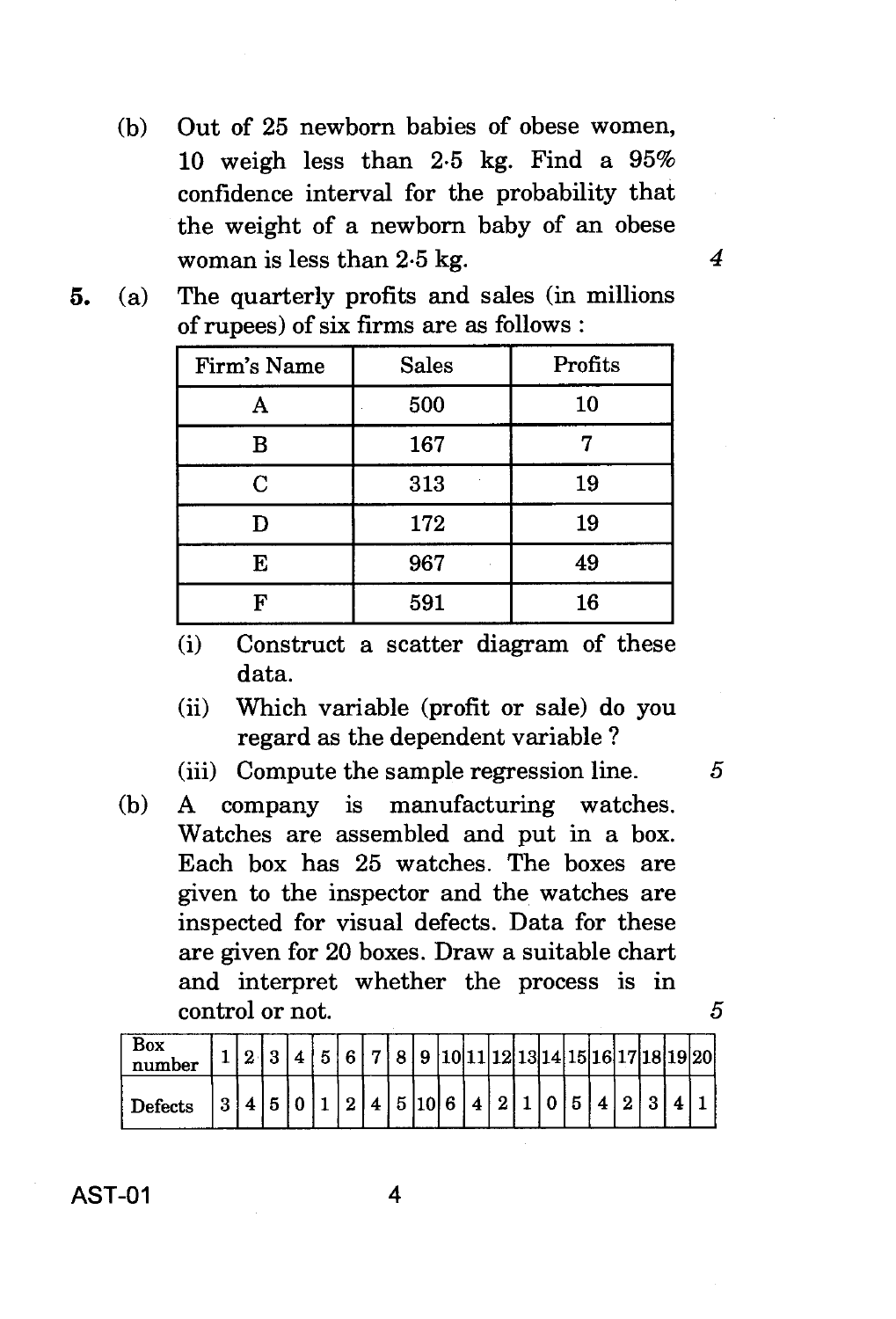- (b) Out of 25 newborn babies of obese women, 10 weigh less than 2.5 kg. Find a 95% confidence interval for the probability that the weight of a newborn baby of an obese woman is less than 2.5 kg. *4*
- **5.** (a) The quarterly profits and sales (in millions of rupees) of six firms are as follows :

| Firm's Name | <b>Sales</b> | Profits |
|-------------|--------------|---------|
|             | 500          | 10      |
| в           | 167          |         |
| C           | 313          | 19      |
| D           | 172          | 19      |
| E           | 967          | 49      |
| F           | 591          | 16      |

- (i) Construct a scatter diagram of these data.
- (ii) Which variable (profit or sale) do you regard as the dependent variable ?
- (iii) Compute the sample regression line. 5
- (b) A company is manufacturing watches. Watches are assembled and put in a box. Each box has 25 watches. The boxes are given to the inspector and the watches are inspected for visual defects. Data for these are given for 20 boxes. Draw a suitable chart and interpret whether the process is in control or not. 5

| Box<br>number |  |  | κ. | G | <u>т і</u> | 8 | 9     |   |  |  |  |  | 10 11 12 13 14 15 16 17 18 19 20 |
|---------------|--|--|----|---|------------|---|-------|---|--|--|--|--|----------------------------------|
| Defects       |  |  |    |   |            |   | a ا۱۵ | Λ |  |  |  |  |                                  |

**AST-01 4**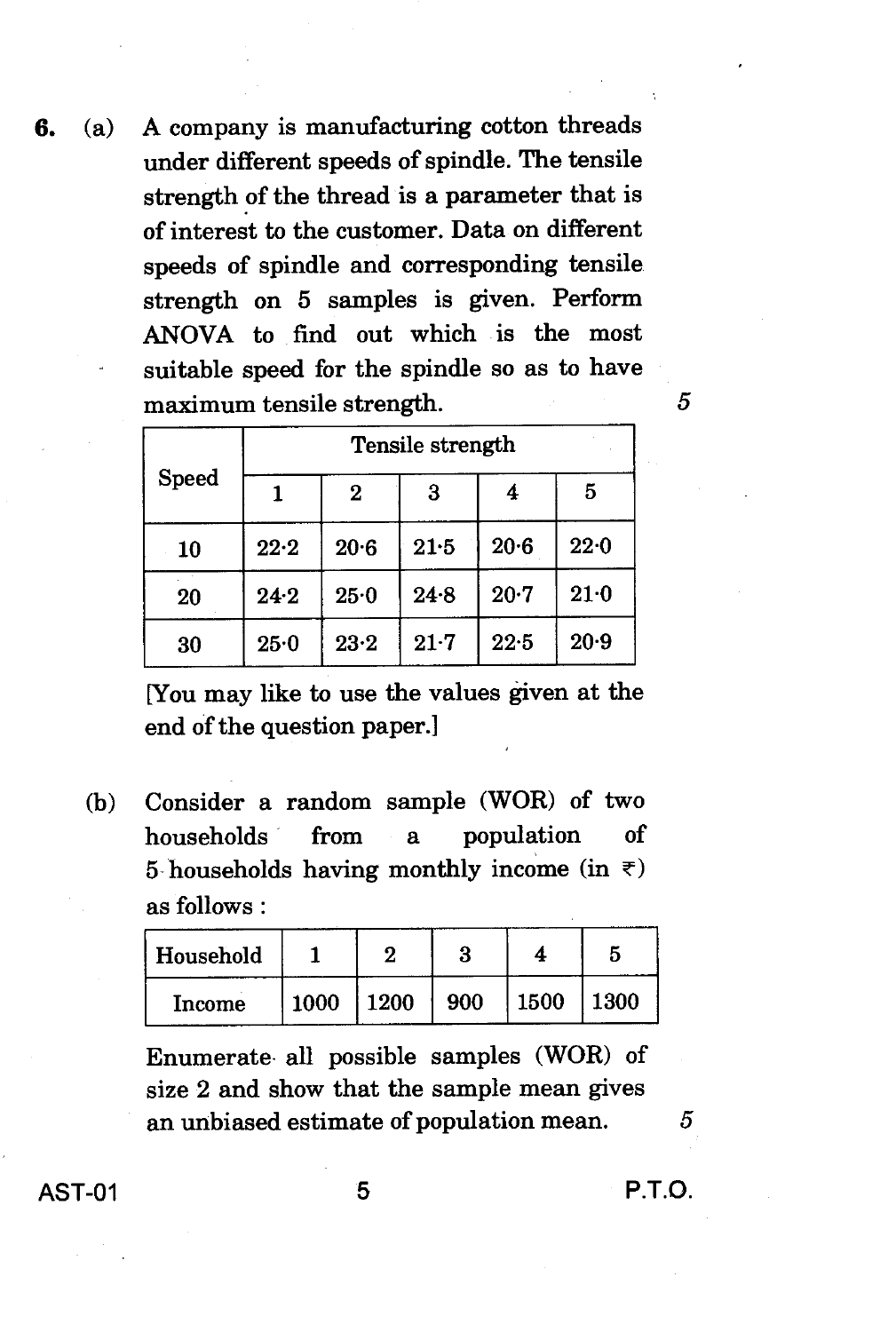6. (a) A company is manufacturing cotton threads under different speeds of spindle. The tensile strength of the thread is a parameter that is of interest to the customer. Data on different speeds of spindle and corresponding tensile strength on 5 samples is given. Perform ANOVA to find out which is the most suitable speed for the spindle so as to have maximum tensile strength. 5

|              | Tensile strength |          |          |          |      |  |  |  |  |  |  |
|--------------|------------------|----------|----------|----------|------|--|--|--|--|--|--|
| <b>Speed</b> |                  | 2        | 3        | 4        | 5    |  |  |  |  |  |  |
| 10           | 22.2             | 20.6     | 21.5     | $20 - 6$ | 22.0 |  |  |  |  |  |  |
| 20           | 24.2             | 25.0     | 24.8     | $20 - 7$ | 21.0 |  |  |  |  |  |  |
| 30           | 25.0             | $23 - 2$ | $21 - 7$ | 22.5     | 20.9 |  |  |  |  |  |  |

[You may like to use the values given at the end of the question paper.]

(b) Consider a random sample (WOR) of two households from a population of 5 households having monthly income (in  $\overline{\tau}$ ) as follows :

| Household |      |      | Ð   |      |      |
|-----------|------|------|-----|------|------|
| Income    | 1000 | 1200 | 900 | 1500 | 1300 |

Enumerate all possible samples (WOR) of size 2 and show that the sample mean gives an unbiased estimate of population mean.

5

AST-01 5 P.T.O.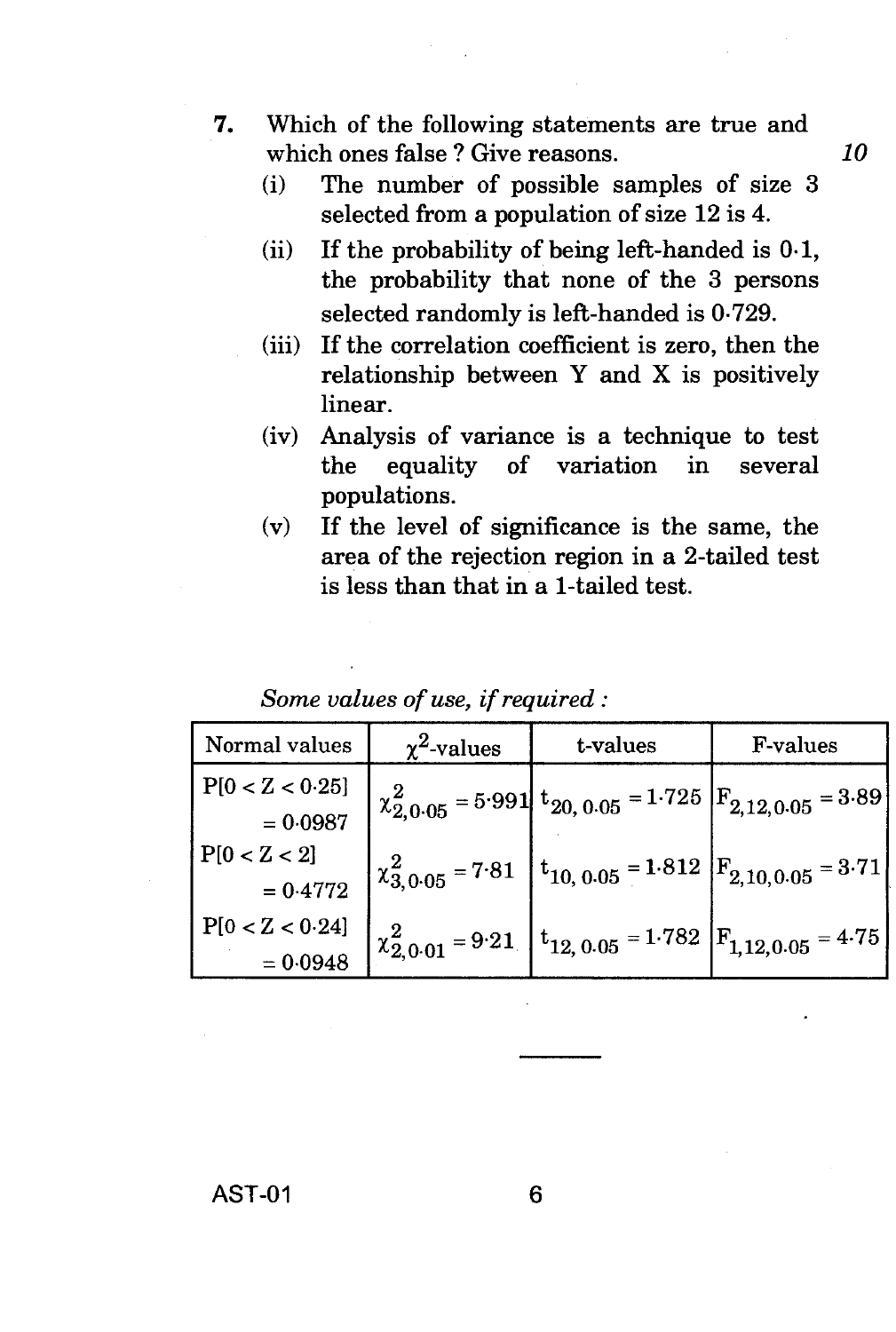- **7.** Which of the following statements are true and which ones false ? Give reasons. **10** 
	- (i) The number of possible samples of size 3 selected from a population of size 12 is 4.
	- (ii) If the probability of being left-handed is  $0.1$ , the probability that none of the 3 persons selected randomly is left-handed is 0.729.
	- (iii) If the correlation coefficient is zero, then the relationship between Y and X is positively linear.
	- (iv) Analysis of variance is a technique to test the equality of variation in several populations.
	- (v) If the level of significance is the same, the area of the rejection region in a 2-tailed test is less than that in a 1-tailed test.

*Some values of use, if required :* 

| Normal values              | $\chi^2$ -values | t-values                                                                                                                                                             | <b>F-values</b> |
|----------------------------|------------------|----------------------------------------------------------------------------------------------------------------------------------------------------------------------|-----------------|
| P[0 < Z < 0.25]            |                  | $\chi_{2,0.05}^2$ = 5.991 $t_{20,0.05}$ = 1.725 $F_{2,12,0.05}$ = 3.89                                                                                               |                 |
| $= 0.0987$<br>P[0 < Z < 2] |                  |                                                                                                                                                                      |                 |
| $= 0.4772$                 |                  | $\begin{bmatrix} 2 \\ \chi_{3,0.05}^2 \end{bmatrix}$ = 7.81 $\begin{bmatrix} t_{10,0.05} \end{bmatrix}$ = 1.812 $\begin{bmatrix} F_{2,10,0.05} \end{bmatrix}$ = 3.71 |                 |
| P[0 < Z < 0.24]            |                  | $x_{2,0.01}^2 = 9.21$ $\left  t_{12,0.05} \right  = 1.782$ $\left  F_{1,12,0.05} \right  = 4.75$                                                                     |                 |
| $= 0.0948$                 |                  |                                                                                                                                                                      |                 |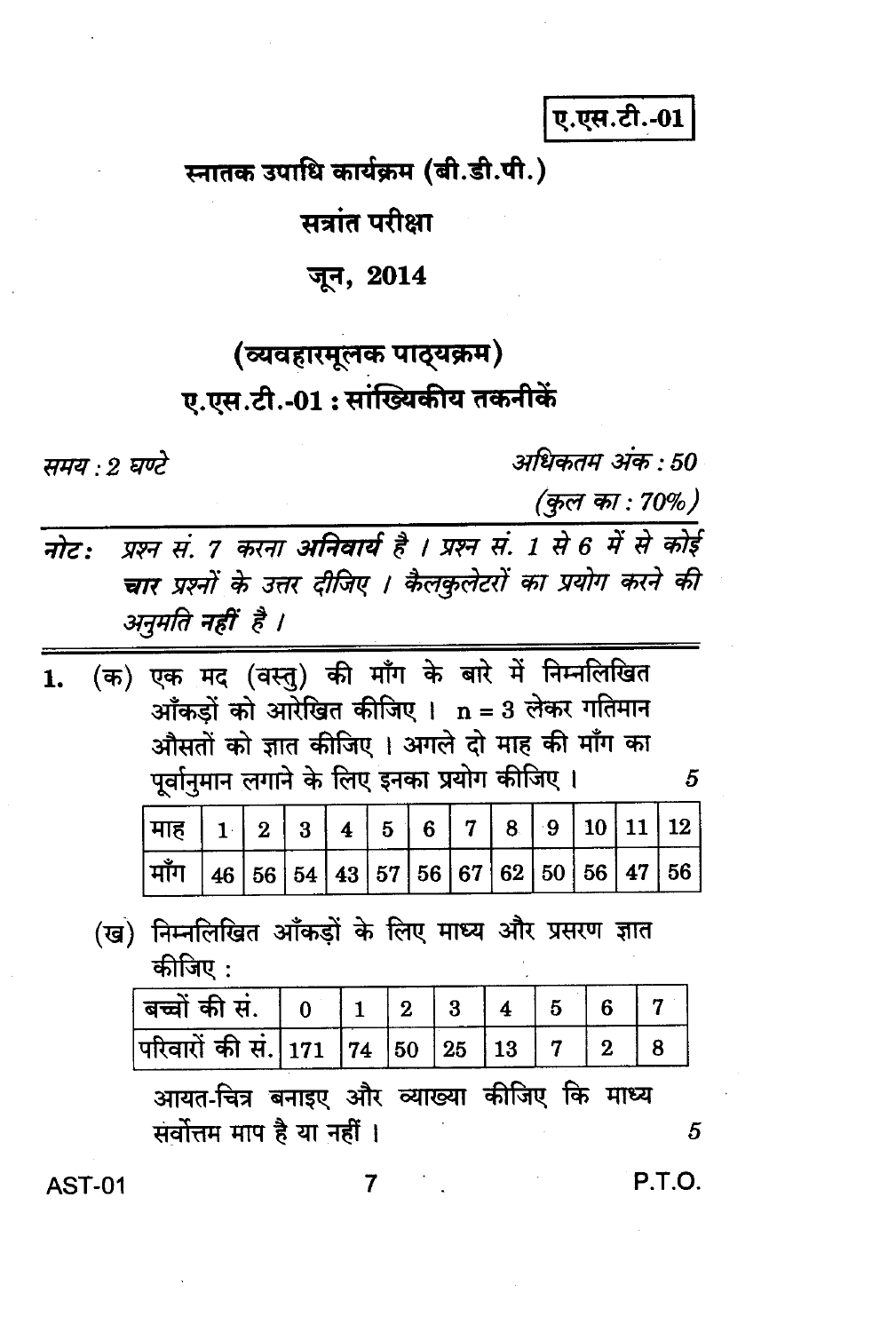ए.एस.टी.-01

स्नातक उपाधि कार्यक्रम (बी.डी.पी.)

सत्रांत परीक्षा

जून, 2014

# (व्यवहारमूलक पाठ्यक्रम) ए.एस.टी.-01: सांख्यिकीय तकनीकें

ममय - २ घण्टे

अधिकतम् अंक : 50

(कुल का : 70%)

प्रश्न सं. 7 करना अनिवार्य है । प्रश्न सं. 1 से 6 में से कोई नोट: चार प्रश्नों के उत्तर दीजिए । कैलकुलेटरों का प्रयोग करने की अनुमति नहीं है ।

|  | 1. (क) एक मद (वस्तु) की माँग के बारे में निम्नलिखित |
|--|-----------------------------------------------------|
|  | आँकड़ों को आरेखित कीजिए । $n = 3$ लेकर गतिमान       |
|  | औसतों को ज्ञात कीजिए। अगले दो माह की माँग का        |
|  | पूर्वानुमान लगाने के लिए इनका प्रयोग कीजिए।         |

5

| माँग   46   56   54   43   57   56   67   62   50   56   47   56 |  |  |  |  |  |  |
|------------------------------------------------------------------|--|--|--|--|--|--|

### (ख) निम्नलिखित आँकड़ों के लिए माध्य और प्रसरण ज्ञात कीजिए :

| । बच्चों की सं.                     |  |  |  |  |
|-------------------------------------|--|--|--|--|
| परिवारों की सं. 171  74  50  25  13 |  |  |  |  |

आयत-चित्र बनाइए और व्याख्या कीजिए कि माध्य सर्वोत्तम माप है या नहीं ।

5

**AST-01** 

 $\overline{7}$ 

P.T.O.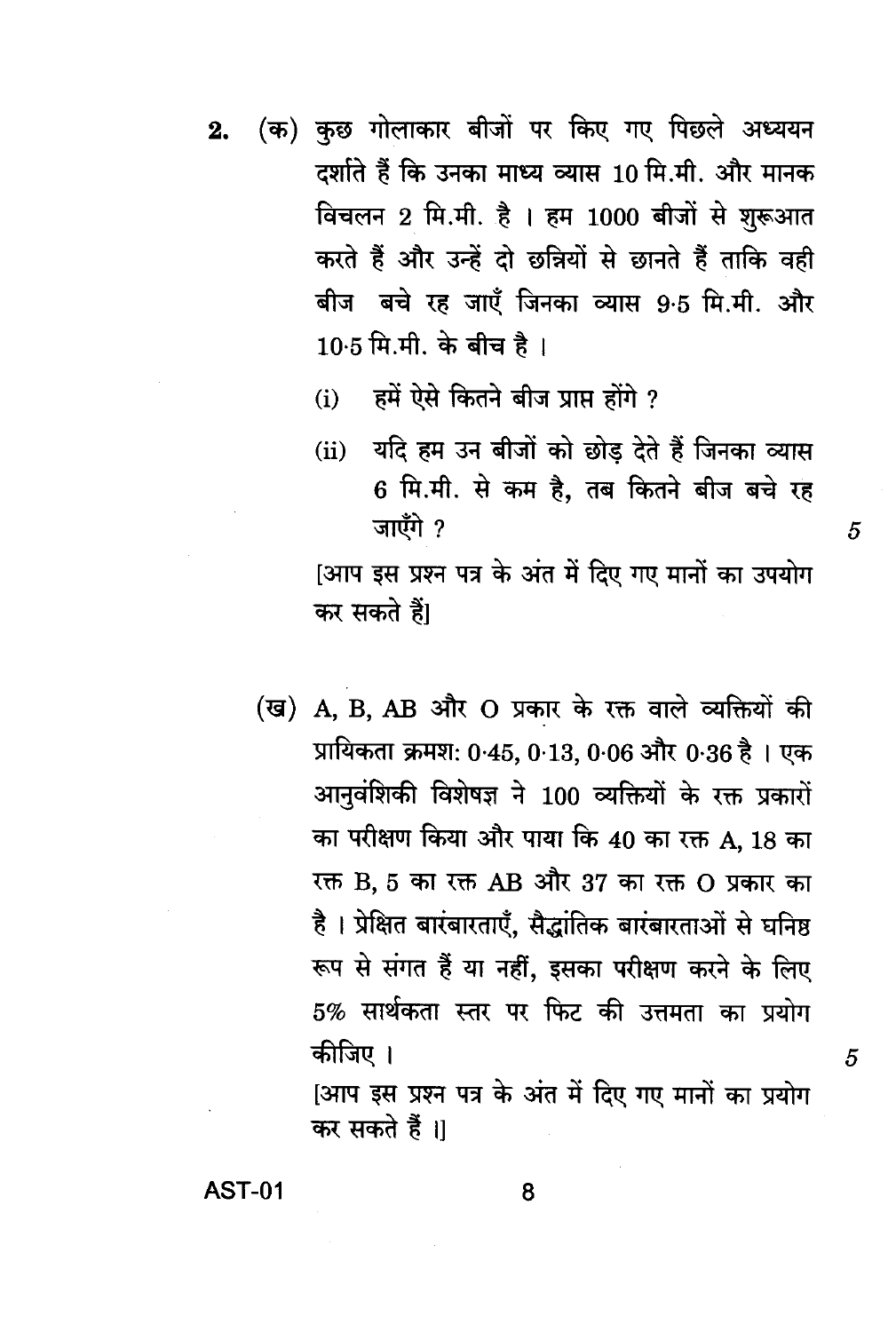- (क) कुछ गोलाकार बीजों पर किए गए पिछले अध्ययन  $2.$ दर्शाते हैं कि उनका माध्य व्यास 10 मि.मी. और मानक विचलन 2 मि.मी. है । हम 1000 बीजों से शुरूआत करते हैं और उन्हें दो छन्नियों से छानते हैं ताकि वही बीज बचे रह जाएँ जिनका व्यास 9.5 मि.मी. और 10.5 मि.मी. के बीच है।
	- (i) हमें ऐसे कितने बीज प्राप्त होंगे ?
	- (ii) यदि हम उन बीजों को छोड़ देते हैं जिनका व्यास 6 मि.मी. से कम है, तब कितने बीज बचे रह जाएँगे ?

[आप इस प्रश्न पत्र के अंत में दिए गए मानों का उपयोग कर सकते हैं।

(ख) A, B, AB और O प्रकार के रक्त वाले व्यक्तियों की प्रायिकता क्रमश: 0.45, 0.13, 0.06 और 0.36 है। एक आनुवंशिकी विशेषज्ञ ने 100 व्यक्तियों के रक्त प्रकारों का परीक्षण किया और पाया कि 40 का रक्त A, 18 का रक्त B, 5 का रक्त AB और 37 का रक्त O प्रकार का है। प्रेक्षित बारंबारताएँ, सैद्धांतिक बारंबारताओं से घनिष्ठ रूप से संगत हैं या नहीं, इसका परीक्षण करने के लिए 5% सार्थकता स्तर पर फिट की उत्तमता का प्रयोग कीजिए ।

[आप इस प्रश्न पत्र के अंत में दिए गए मानों का प्रयोग कर सकते हैं ।।

**AST-01** 

8

5

5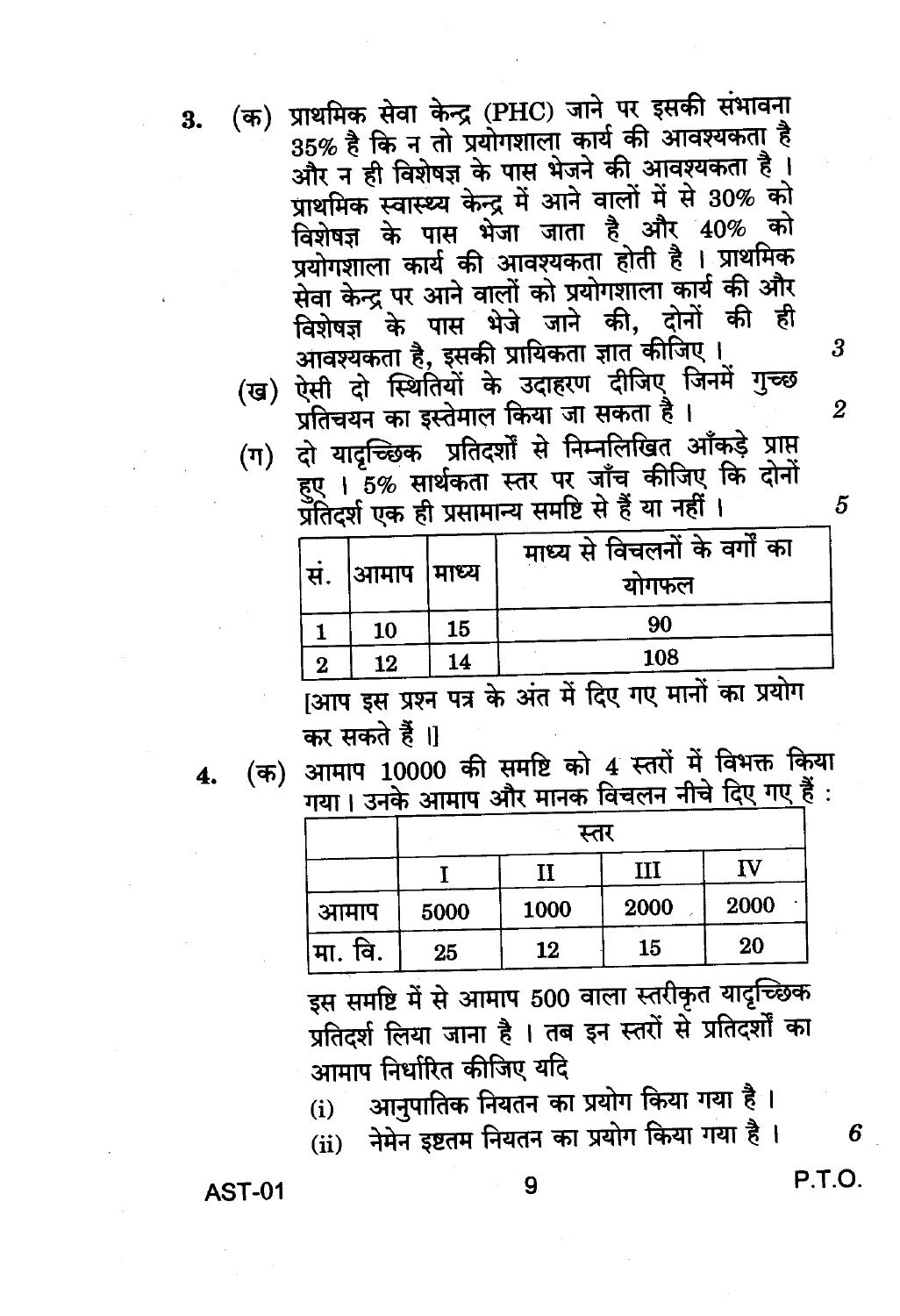3.

(क) प्राथमिक सेवा केन्द्र (PHC) जाने पर इसकी संभावना 35% है कि न तो प्रयोगशाला कार्य की आवश्यकता है और न ही विशेषज्ञ के पास भेजने की आवश्यकता है। प्राथमिक स्वास्थ्य केन्द्र में आने वालों में से 30% को विशेषज्ञ के पास भेजा जाता है और 40% को प्रयोगशाला कार्य की आवश्यकता होती है । प्राथमिक सेवा केन्द्र पर आने वालों को प्रयोगशाला कार्य की और आवश्यकता है, इसकी प्रायिकता ज्ञात कीजिए। (ख) ऐसी दो स्थितियों के उदाहरण दीजिए जिनमें गुच्छ प्रतिचयन का इस्तेमाल किया जा सकता है।

(ग) दो यादच्छिक प्रतिदर्शों से निम्नलिखित आँकड़े प्राप्त हुए । 5% सार्थकता स्तर पर जाँच कीजिए कि दोनों ,<br>प्रतिदर्श एक ही प्रसामान्य समष्टि से हैं या नहीं ।

| 90<br>15<br>10       |  |
|----------------------|--|
| 108<br>14<br>12<br>2 |  |

क्षाप इस प्रश्न पत्र के अंत में दिए गए मानों का प्रयोग कर सकते हैं ।।

4.

(क) आमाप 10000 की समष्टि को 4 स्तरों में विभक्त किया गया। उनके आमाप और मानक विचलन नीचे दिए गए हैं :

|          | स्तर |      |      |      |  |  |  |  |  |  |
|----------|------|------|------|------|--|--|--|--|--|--|
|          |      |      | III  | ΓV   |  |  |  |  |  |  |
| आमाप     | 5000 | 1000 | 2000 | 2000 |  |  |  |  |  |  |
| ∣मा. वि. | 25   | 12   | 15   | 20   |  |  |  |  |  |  |

इस समष्टि में से आमाप 500 वाला स्तरीकृत यादृच्छिक प्रतिदर्श लिया जाना है । तब इन स्तरों से प्रतिदर्शों का आमाप निर्धारित कीजिए यदि

आनुपातिक नियतन का प्रयोग किया गया है ।  $(i)$ 

(ii) नेमेन इष्टतम नियतन का प्रयोग किया गया है।

**AST-01** 

9

5

6

P.T.O.

3

 $\overline{2}$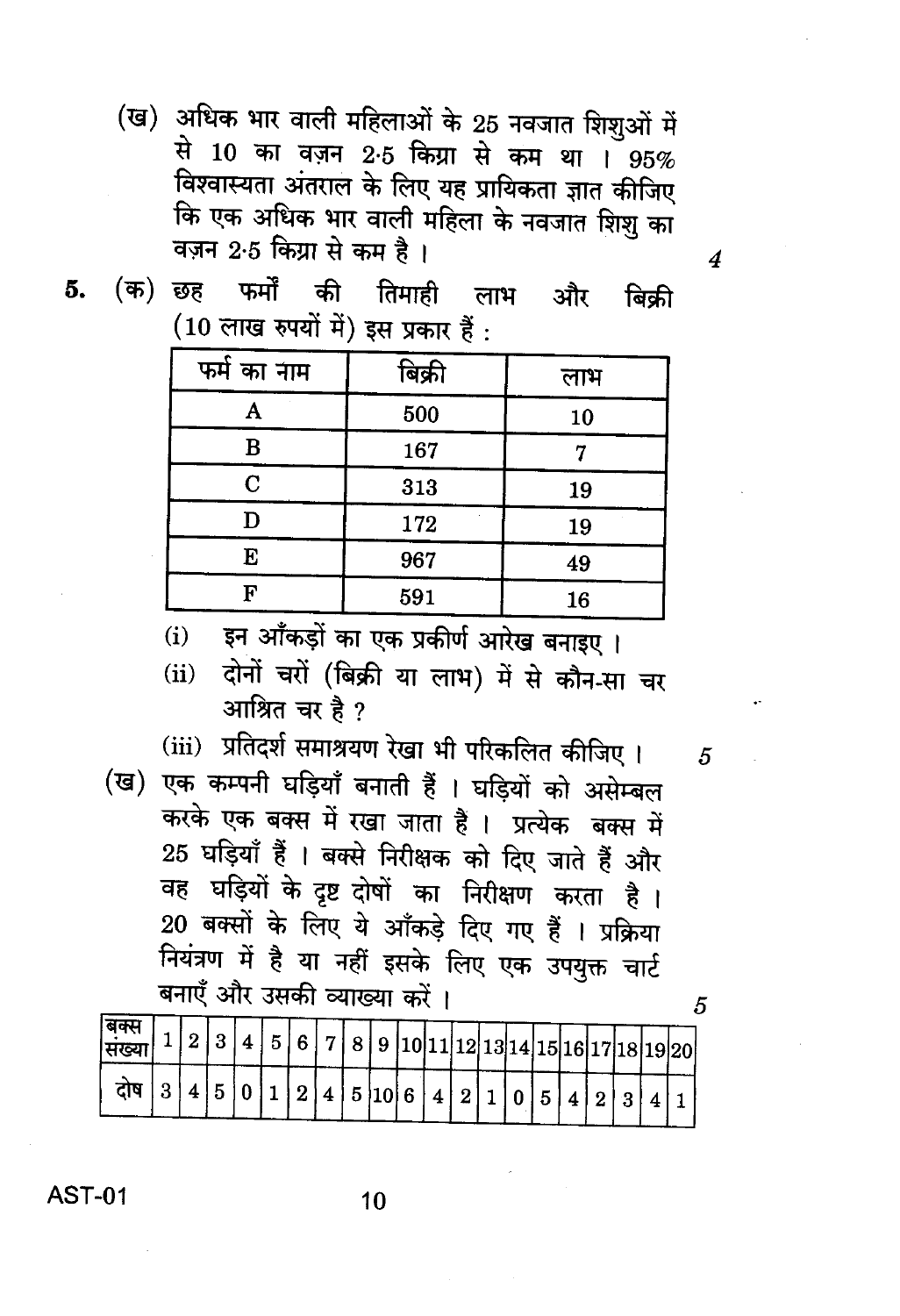(ख) अधिक भार वाली महिलाओं के 25 नवजात शिशुओं में से 10 का वज़न 2.5 किग्रा से कम था । 95% विश्वास्यता अंतराल के लिए यह प्रायिकता ज्ञात कीजिए कि एक अधिक भार वाली महिला के नवजात शिशु का वज़न 2.5 किया से कम है।

 $\boldsymbol{4}$ 

 $\overline{5}$ 

5

(क) छह फर्मों की तिमाही लाभ और 5. बिकी (10 लाख रुपयों में) इस प्रकार हैं:

| फर्म का नाम | बिक्री | लाभ |
|-------------|--------|-----|
| Α           | 500    | 10  |
| B           | 167    |     |
| C           | 313    | 19  |
| D           | 172    | 19  |
| E           | 967    | 49  |
| г           | 591    | 16  |

इन आँकड़ों का एक प्रकीर्ण आरेख बनाइए।  $(i)$ 

दोनों चरों (बिक्री या लाभ) में से कौन-सा चर  $(ii)$ आश्रित चर है ?

(iii) प्रतिदर्श समाश्रयण रेखा भी परिकलित कीजिए ।

(ख) एक कम्पनी घड़ियाँ बनाती हैं । घड़ियों को असेम्बल करके एक बक्स में रखा जाता है। प्रत्येक बक्स में 25 घड़ियाँ हैं । बक्से निरीक्षक को दिए जाते हैं और वह घड़ियों के दृष्ट दोषों का निरीक्षण करता है। 20 बक्सों के लिए ये आँकड़े दिए गए हैं । प्रक्रिया नियंत्रण में है या नहीं इसके लिए एक उपयुक्त चार्ट बनाएँ और उसकी व्याख्या करें ।

| ।सख्य |  |  | ĸ | 6 |  |        |   |                |  |   |  |  | 17 8 9 10 11 12 13 14 15 16 17 18 19 20 |
|-------|--|--|---|---|--|--------|---|----------------|--|---|--|--|-----------------------------------------|
| टाष   |  |  |   |   |  | 5 10 6 | 4 | $\overline{2}$ |  | к |  |  |                                         |

**AST-01** 

10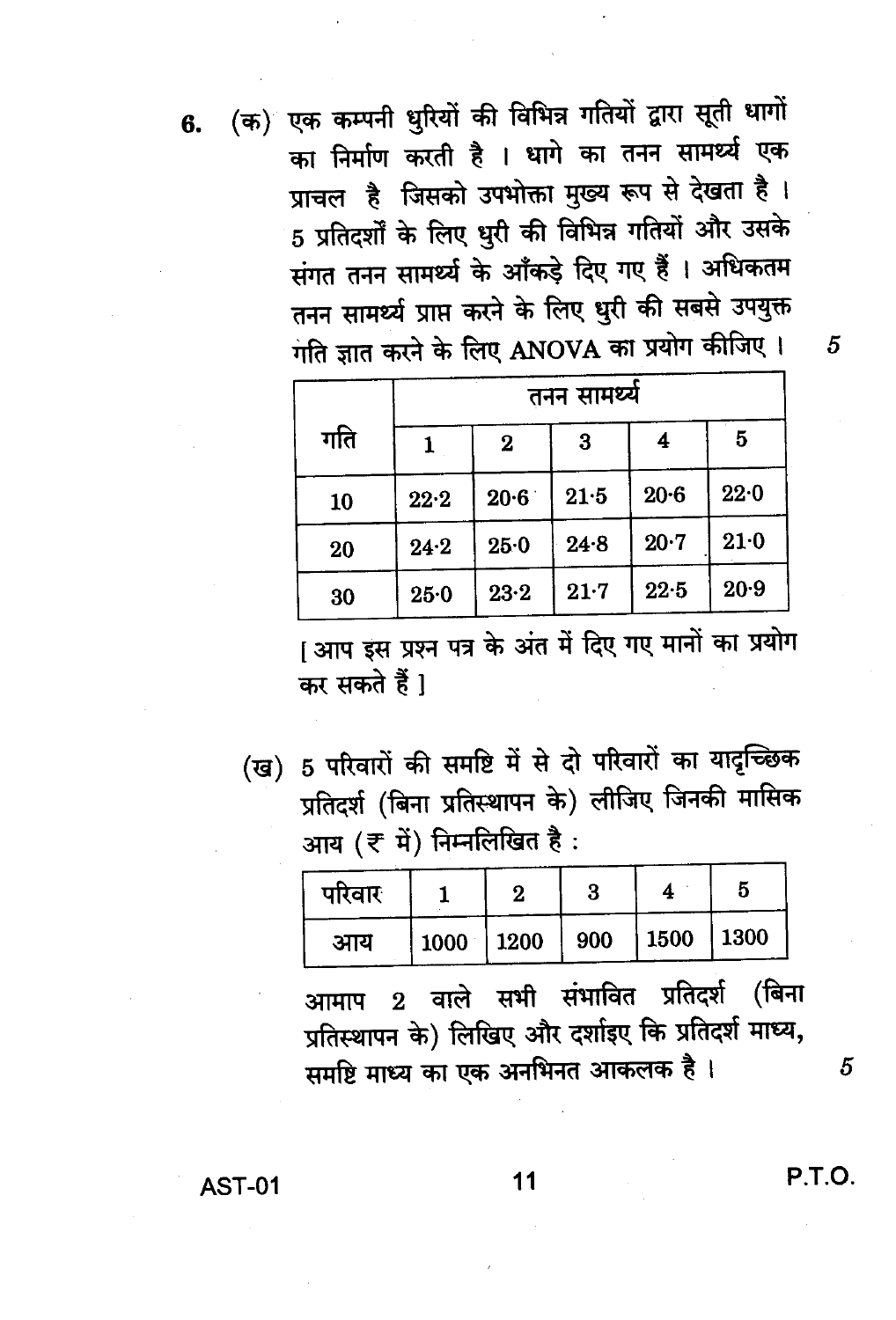6. (क) एक कम्पनी धुरियों की विभिन्न गतियों द्वारा सूती धागों का निर्माण करती है । धागे का तनन सामर्थ्य एक प्राचल है जिसको उपभोक्ता मुख्य रूप से देखता है। 5 प्रतिदर्शों के लिए धुरी की विभिन्न गतियों और उसके संगत तनन सामर्थ्य के आँकड़े दिए गए हैं । अधिकतम तनन सामर्थ्य प्राप्त करने के लिए धुरी की सबसे उपयुक्त गति ज्ञात करने के लिए ANOVA का प्रयोग कीजिए।

|     |          | तनन सामर्थ्य |          |          |      |  |  |  |  |  |  |
|-----|----------|--------------|----------|----------|------|--|--|--|--|--|--|
| गति |          | $\bf{2}$     | 3        | 4        | 5    |  |  |  |  |  |  |
| 10  | 22.2     | 20.6         | 21.5     | $20 - 6$ | 22.0 |  |  |  |  |  |  |
| 20  | 24.2     | 25.0         | 24.8     | $20 - 7$ | 21.0 |  |  |  |  |  |  |
| 30  | $25 - 0$ | $23 - 2$     | $21 - 7$ | $22 - 5$ | 20.9 |  |  |  |  |  |  |

[आप इस प्रश्न पत्र के अंत में दिए गए मानों का प्रयोग कर सकते हैं।

(ख) 5 परिवारों की समष्टि में से दो परिवारों का यादृच्छिक प्रतिदर्श (बिना प्रतिस्थापन के) लीजिए जिनकी मासिक आय (₹ में) निम्नलिखित है:

| परिवार |                                   |  |  |
|--------|-----------------------------------|--|--|
| आय     | $1000$   1200   900   1500   1300 |  |  |

2 वाले सभी संभावित प्रतिदर्श (बिना आमाप प्रतिस्थापन के) लिखिए और दर्शाइए कि प्रतिदर्श माध्य, समष्टि माध्य का एक अनभिनत आकलक है।

11

P.T.O.

5

 $\overline{5}$